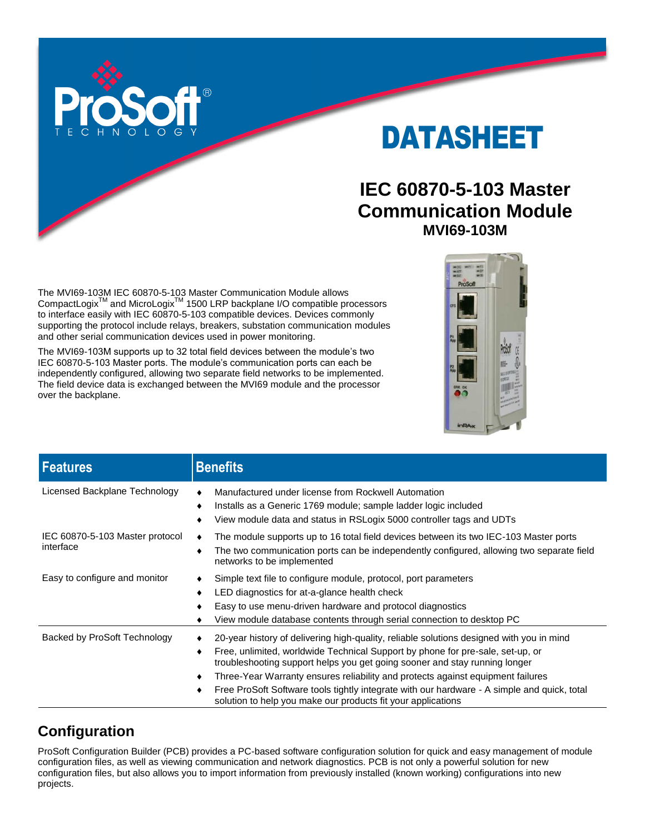

# DATASHEET

# **IEC 60870-5-103 Master Communication Module MVI69-103M**

The MVI69-103M IEC 60870-5-103 Master Communication Module allows CompactLogix<sup>™</sup> and MicroLogix<sup>™</sup> 1500 LRP backplane I/O compatible processors to interface easily with IEC 60870-5-103 compatible devices. Devices commonly supporting the protocol include relays, breakers, substation communication modules and other serial communication devices used in power monitoring.

The MVI69-103M supports up to 32 total field devices between the module's two IEC 60870-5-103 Master ports. The module's communication ports can each be independently configured, allowing two separate field networks to be implemented. The field device data is exchanged between the MVI69 module and the processor over the backplane.



| <b>Features</b>                              | <b>Benefits</b>                                                                                                                                                                                                                                                                                                                                                                                                                                                                                                      |
|----------------------------------------------|----------------------------------------------------------------------------------------------------------------------------------------------------------------------------------------------------------------------------------------------------------------------------------------------------------------------------------------------------------------------------------------------------------------------------------------------------------------------------------------------------------------------|
| Licensed Backplane Technology                | Manufactured under license from Rockwell Automation<br>Installs as a Generic 1769 module; sample ladder logic included<br>٠<br>View module data and status in RSLogix 5000 controller tags and UDTs                                                                                                                                                                                                                                                                                                                  |
| IEC 60870-5-103 Master protocol<br>interface | The module supports up to 16 total field devices between its two IEC-103 Master ports<br>The two communication ports can be independently configured, allowing two separate field<br>networks to be implemented                                                                                                                                                                                                                                                                                                      |
| Easy to configure and monitor                | Simple text file to configure module, protocol, port parameters<br>LED diagnostics for at-a-glance health check<br>٠<br>Easy to use menu-driven hardware and protocol diagnostics<br>View module database contents through serial connection to desktop PC                                                                                                                                                                                                                                                           |
| Backed by ProSoft Technology                 | 20-year history of delivering high-quality, reliable solutions designed with you in mind<br>Free, unlimited, worldwide Technical Support by phone for pre-sale, set-up, or<br>troubleshooting support helps you get going sooner and stay running longer<br>Three-Year Warranty ensures reliability and protects against equipment failures<br>٠<br>Free ProSoft Software tools tightly integrate with our hardware - A simple and quick, total<br>٠<br>solution to help you make our products fit your applications |

## **Configuration**

ProSoft Configuration Builder (PCB) provides a PC-based software configuration solution for quick and easy management of module configuration files, as well as viewing communication and network diagnostics. PCB is not only a powerful solution for new configuration files, but also allows you to import information from previously installed (known working) configurations into new projects.